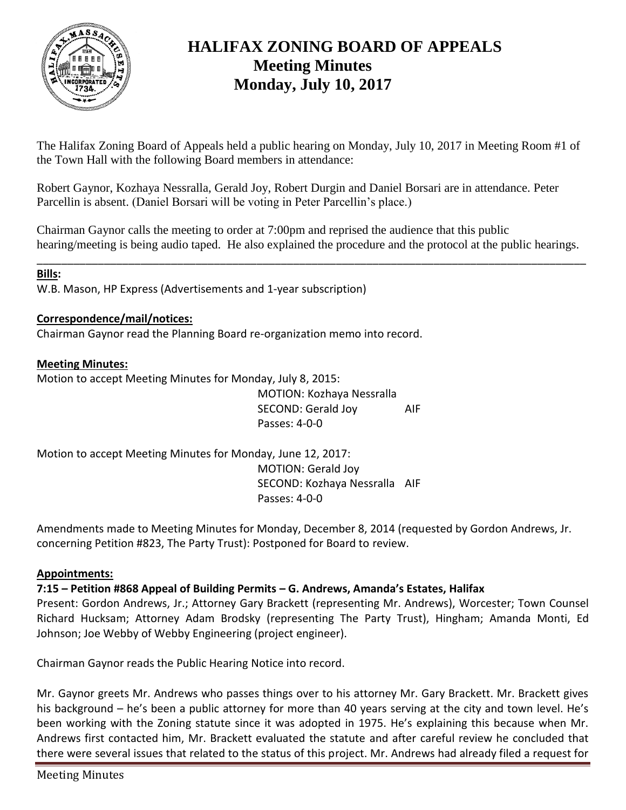

# **HALIFAX ZONING BOARD OF APPEALS Meeting Minutes Monday, July 10, 2017**

The Halifax Zoning Board of Appeals held a public hearing on Monday, July 10, 2017 in Meeting Room #1 of the Town Hall with the following Board members in attendance:

Robert Gaynor, Kozhaya Nessralla, Gerald Joy, Robert Durgin and Daniel Borsari are in attendance. Peter Parcellin is absent. (Daniel Borsari will be voting in Peter Parcellin's place.)

Chairman Gaynor calls the meeting to order at 7:00pm and reprised the audience that this public hearing/meeting is being audio taped. He also explained the procedure and the protocol at the public hearings.

\_\_\_\_\_\_\_\_\_\_\_\_\_\_\_\_\_\_\_\_\_\_\_\_\_\_\_\_\_\_\_\_\_\_\_\_\_\_\_\_\_\_\_\_\_\_\_\_\_\_\_\_\_\_\_\_\_\_\_\_\_\_\_\_\_\_\_\_\_\_\_\_\_\_\_\_\_\_\_\_\_\_\_\_\_\_\_\_\_\_

# **Bills:**

W.B. Mason, HP Express (Advertisements and 1-year subscription)

# **Correspondence/mail/notices:**

Chairman Gaynor read the Planning Board re-organization memo into record.

# **Meeting Minutes:**

Motion to accept Meeting Minutes for Monday, July 8, 2015:

MOTION: Kozhaya Nessralla SECOND: Gerald Joy AIF Passes: 4-0-0

Motion to accept Meeting Minutes for Monday, June 12, 2017: MOTION: Gerald Joy SECOND: Kozhaya Nessralla AIF Passes: 4-0-0

Amendments made to Meeting Minutes for Monday, December 8, 2014 (requested by Gordon Andrews, Jr. concerning Petition #823, The Party Trust): Postponed for Board to review.

# **Appointments:**

**7:15 – Petition #868 Appeal of Building Permits – G. Andrews, Amanda's Estates, Halifax**

Present: Gordon Andrews, Jr.; Attorney Gary Brackett (representing Mr. Andrews), Worcester; Town Counsel Richard Hucksam; Attorney Adam Brodsky (representing The Party Trust), Hingham; Amanda Monti, Ed Johnson; Joe Webby of Webby Engineering (project engineer).

Chairman Gaynor reads the Public Hearing Notice into record.

Mr. Gaynor greets Mr. Andrews who passes things over to his attorney Mr. Gary Brackett. Mr. Brackett gives his background – he's been a public attorney for more than 40 years serving at the city and town level. He's been working with the Zoning statute since it was adopted in 1975. He's explaining this because when Mr. Andrews first contacted him, Mr. Brackett evaluated the statute and after careful review he concluded that there were several issues that related to the status of this project. Mr. Andrews had already filed a request for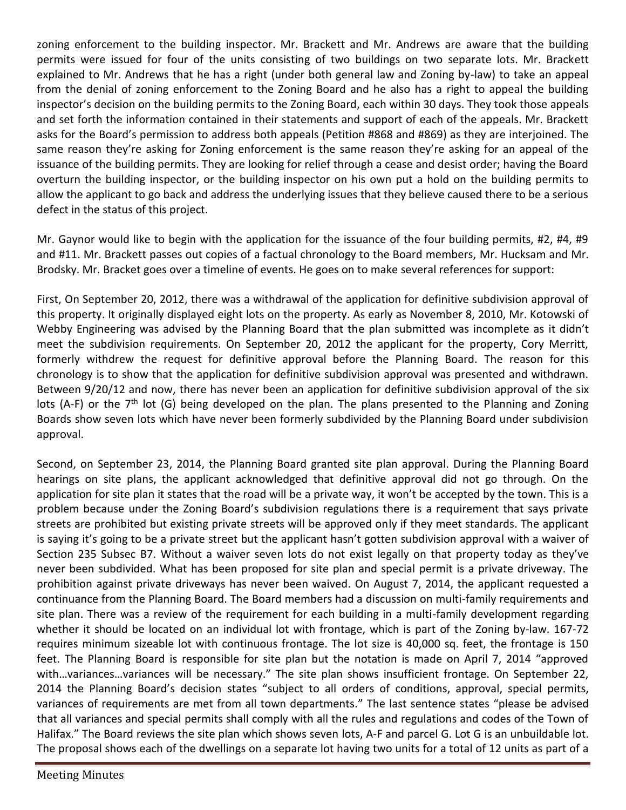zoning enforcement to the building inspector. Mr. Brackett and Mr. Andrews are aware that the building permits were issued for four of the units consisting of two buildings on two separate lots. Mr. Brackett explained to Mr. Andrews that he has a right (under both general law and Zoning by-law) to take an appeal from the denial of zoning enforcement to the Zoning Board and he also has a right to appeal the building inspector's decision on the building permits to the Zoning Board, each within 30 days. They took those appeals and set forth the information contained in their statements and support of each of the appeals. Mr. Brackett asks for the Board's permission to address both appeals (Petition #868 and #869) as they are interjoined. The same reason they're asking for Zoning enforcement is the same reason they're asking for an appeal of the issuance of the building permits. They are looking for relief through a cease and desist order; having the Board overturn the building inspector, or the building inspector on his own put a hold on the building permits to allow the applicant to go back and address the underlying issues that they believe caused there to be a serious defect in the status of this project.

Mr. Gaynor would like to begin with the application for the issuance of the four building permits, #2, #4, #9 and #11. Mr. Brackett passes out copies of a factual chronology to the Board members, Mr. Hucksam and Mr. Brodsky. Mr. Bracket goes over a timeline of events. He goes on to make several references for support:

First, On September 20, 2012, there was a withdrawal of the application for definitive subdivision approval of this property. It originally displayed eight lots on the property. As early as November 8, 2010, Mr. Kotowski of Webby Engineering was advised by the Planning Board that the plan submitted was incomplete as it didn't meet the subdivision requirements. On September 20, 2012 the applicant for the property, Cory Merritt, formerly withdrew the request for definitive approval before the Planning Board. The reason for this chronology is to show that the application for definitive subdivision approval was presented and withdrawn. Between 9/20/12 and now, there has never been an application for definitive subdivision approval of the six lots (A-F) or the 7<sup>th</sup> lot (G) being developed on the plan. The plans presented to the Planning and Zoning Boards show seven lots which have never been formerly subdivided by the Planning Board under subdivision approval.

Second, on September 23, 2014, the Planning Board granted site plan approval. During the Planning Board hearings on site plans, the applicant acknowledged that definitive approval did not go through. On the application for site plan it states that the road will be a private way, it won't be accepted by the town. This is a problem because under the Zoning Board's subdivision regulations there is a requirement that says private streets are prohibited but existing private streets will be approved only if they meet standards. The applicant is saying it's going to be a private street but the applicant hasn't gotten subdivision approval with a waiver of Section 235 Subsec B7. Without a waiver seven lots do not exist legally on that property today as they've never been subdivided. What has been proposed for site plan and special permit is a private driveway. The prohibition against private driveways has never been waived. On August 7, 2014, the applicant requested a continuance from the Planning Board. The Board members had a discussion on multi-family requirements and site plan. There was a review of the requirement for each building in a multi-family development regarding whether it should be located on an individual lot with frontage, which is part of the Zoning by-law. 167-72 requires minimum sizeable lot with continuous frontage. The lot size is 40,000 sq. feet, the frontage is 150 feet. The Planning Board is responsible for site plan but the notation is made on April 7, 2014 "approved with...variances...variances will be necessary." The site plan shows insufficient frontage. On September 22, 2014 the Planning Board's decision states "subject to all orders of conditions, approval, special permits, variances of requirements are met from all town departments." The last sentence states "please be advised that all variances and special permits shall comply with all the rules and regulations and codes of the Town of Halifax." The Board reviews the site plan which shows seven lots, A-F and parcel G. Lot G is an unbuildable lot. The proposal shows each of the dwellings on a separate lot having two units for a total of 12 units as part of a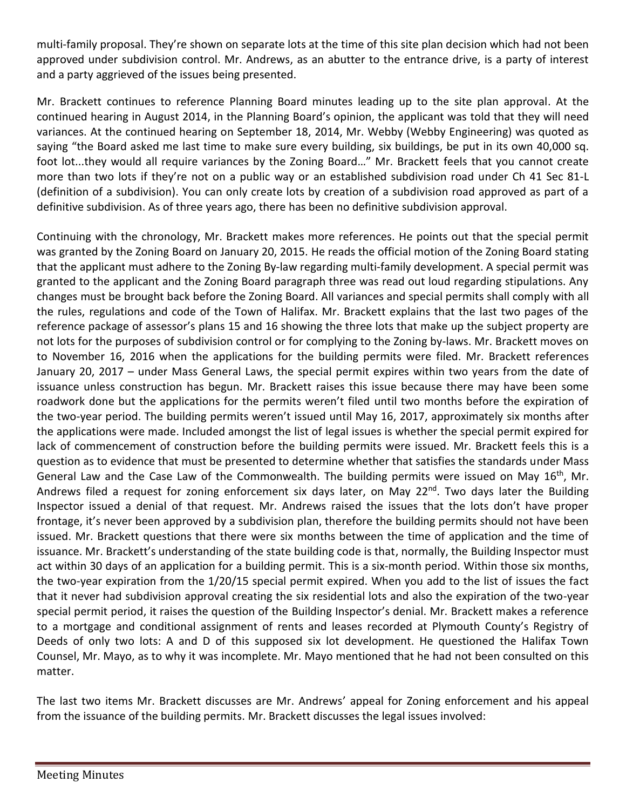multi-family proposal. They're shown on separate lots at the time of this site plan decision which had not been approved under subdivision control. Mr. Andrews, as an abutter to the entrance drive, is a party of interest and a party aggrieved of the issues being presented.

Mr. Brackett continues to reference Planning Board minutes leading up to the site plan approval. At the continued hearing in August 2014, in the Planning Board's opinion, the applicant was told that they will need variances. At the continued hearing on September 18, 2014, Mr. Webby (Webby Engineering) was quoted as saying "the Board asked me last time to make sure every building, six buildings, be put in its own 40,000 sq. foot lot...they would all require variances by the Zoning Board…" Mr. Brackett feels that you cannot create more than two lots if they're not on a public way or an established subdivision road under Ch 41 Sec 81-L (definition of a subdivision). You can only create lots by creation of a subdivision road approved as part of a definitive subdivision. As of three years ago, there has been no definitive subdivision approval.

Continuing with the chronology, Mr. Brackett makes more references. He points out that the special permit was granted by the Zoning Board on January 20, 2015. He reads the official motion of the Zoning Board stating that the applicant must adhere to the Zoning By-law regarding multi-family development. A special permit was granted to the applicant and the Zoning Board paragraph three was read out loud regarding stipulations. Any changes must be brought back before the Zoning Board. All variances and special permits shall comply with all the rules, regulations and code of the Town of Halifax. Mr. Brackett explains that the last two pages of the reference package of assessor's plans 15 and 16 showing the three lots that make up the subject property are not lots for the purposes of subdivision control or for complying to the Zoning by-laws. Mr. Brackett moves on to November 16, 2016 when the applications for the building permits were filed. Mr. Brackett references January 20, 2017 – under Mass General Laws, the special permit expires within two years from the date of issuance unless construction has begun. Mr. Brackett raises this issue because there may have been some roadwork done but the applications for the permits weren't filed until two months before the expiration of the two-year period. The building permits weren't issued until May 16, 2017, approximately six months after the applications were made. Included amongst the list of legal issues is whether the special permit expired for lack of commencement of construction before the building permits were issued. Mr. Brackett feels this is a question as to evidence that must be presented to determine whether that satisfies the standards under Mass General Law and the Case Law of the Commonwealth. The building permits were issued on May  $16<sup>th</sup>$ , Mr. Andrews filed a request for zoning enforcement six days later, on May 22<sup>nd</sup>. Two days later the Building Inspector issued a denial of that request. Mr. Andrews raised the issues that the lots don't have proper frontage, it's never been approved by a subdivision plan, therefore the building permits should not have been issued. Mr. Brackett questions that there were six months between the time of application and the time of issuance. Mr. Brackett's understanding of the state building code is that, normally, the Building Inspector must act within 30 days of an application for a building permit. This is a six-month period. Within those six months, the two-year expiration from the 1/20/15 special permit expired. When you add to the list of issues the fact that it never had subdivision approval creating the six residential lots and also the expiration of the two-year special permit period, it raises the question of the Building Inspector's denial. Mr. Brackett makes a reference to a mortgage and conditional assignment of rents and leases recorded at Plymouth County's Registry of Deeds of only two lots: A and D of this supposed six lot development. He questioned the Halifax Town Counsel, Mr. Mayo, as to why it was incomplete. Mr. Mayo mentioned that he had not been consulted on this matter.

The last two items Mr. Brackett discusses are Mr. Andrews' appeal for Zoning enforcement and his appeal from the issuance of the building permits. Mr. Brackett discusses the legal issues involved: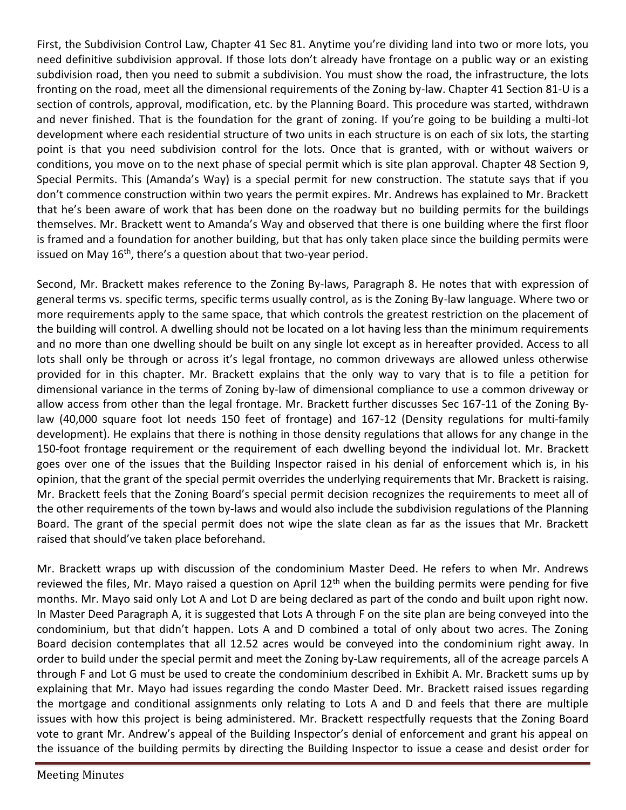First, the Subdivision Control Law, Chapter 41 Sec 81. Anytime you're dividing land into two or more lots, you need definitive subdivision approval. If those lots don't already have frontage on a public way or an existing subdivision road, then you need to submit a subdivision. You must show the road, the infrastructure, the lots fronting on the road, meet all the dimensional requirements of the Zoning by-law. Chapter 41 Section 81-U is a section of controls, approval, modification, etc. by the Planning Board. This procedure was started, withdrawn and never finished. That is the foundation for the grant of zoning. If you're going to be building a multi-lot development where each residential structure of two units in each structure is on each of six lots, the starting point is that you need subdivision control for the lots. Once that is granted, with or without waivers or conditions, you move on to the next phase of special permit which is site plan approval. Chapter 48 Section 9, Special Permits. This (Amanda's Way) is a special permit for new construction. The statute says that if you don't commence construction within two years the permit expires. Mr. Andrews has explained to Mr. Brackett that he's been aware of work that has been done on the roadway but no building permits for the buildings themselves. Mr. Brackett went to Amanda's Way and observed that there is one building where the first floor is framed and a foundation for another building, but that has only taken place since the building permits were issued on May 16<sup>th</sup>, there's a question about that two-year period.

Second, Mr. Brackett makes reference to the Zoning By-laws, Paragraph 8. He notes that with expression of general terms vs. specific terms, specific terms usually control, as is the Zoning By-law language. Where two or more requirements apply to the same space, that which controls the greatest restriction on the placement of the building will control. A dwelling should not be located on a lot having less than the minimum requirements and no more than one dwelling should be built on any single lot except as in hereafter provided. Access to all lots shall only be through or across it's legal frontage, no common driveways are allowed unless otherwise provided for in this chapter. Mr. Brackett explains that the only way to vary that is to file a petition for dimensional variance in the terms of Zoning by-law of dimensional compliance to use a common driveway or allow access from other than the legal frontage. Mr. Brackett further discusses Sec 167-11 of the Zoning Bylaw (40,000 square foot lot needs 150 feet of frontage) and 167-12 (Density regulations for multi-family development). He explains that there is nothing in those density regulations that allows for any change in the 150-foot frontage requirement or the requirement of each dwelling beyond the individual lot. Mr. Brackett goes over one of the issues that the Building Inspector raised in his denial of enforcement which is, in his opinion, that the grant of the special permit overrides the underlying requirements that Mr. Brackett is raising. Mr. Brackett feels that the Zoning Board's special permit decision recognizes the requirements to meet all of the other requirements of the town by-laws and would also include the subdivision regulations of the Planning Board. The grant of the special permit does not wipe the slate clean as far as the issues that Mr. Brackett raised that should've taken place beforehand.

Mr. Brackett wraps up with discussion of the condominium Master Deed. He refers to when Mr. Andrews reviewed the files, Mr. Mayo raised a question on April  $12<sup>th</sup>$  when the building permits were pending for five months. Mr. Mayo said only Lot A and Lot D are being declared as part of the condo and built upon right now. In Master Deed Paragraph A, it is suggested that Lots A through F on the site plan are being conveyed into the condominium, but that didn't happen. Lots A and D combined a total of only about two acres. The Zoning Board decision contemplates that all 12.52 acres would be conveyed into the condominium right away. In order to build under the special permit and meet the Zoning by-Law requirements, all of the acreage parcels A through F and Lot G must be used to create the condominium described in Exhibit A. Mr. Brackett sums up by explaining that Mr. Mayo had issues regarding the condo Master Deed. Mr. Brackett raised issues regarding the mortgage and conditional assignments only relating to Lots A and D and feels that there are multiple issues with how this project is being administered. Mr. Brackett respectfully requests that the Zoning Board vote to grant Mr. Andrew's appeal of the Building Inspector's denial of enforcement and grant his appeal on the issuance of the building permits by directing the Building Inspector to issue a cease and desist order for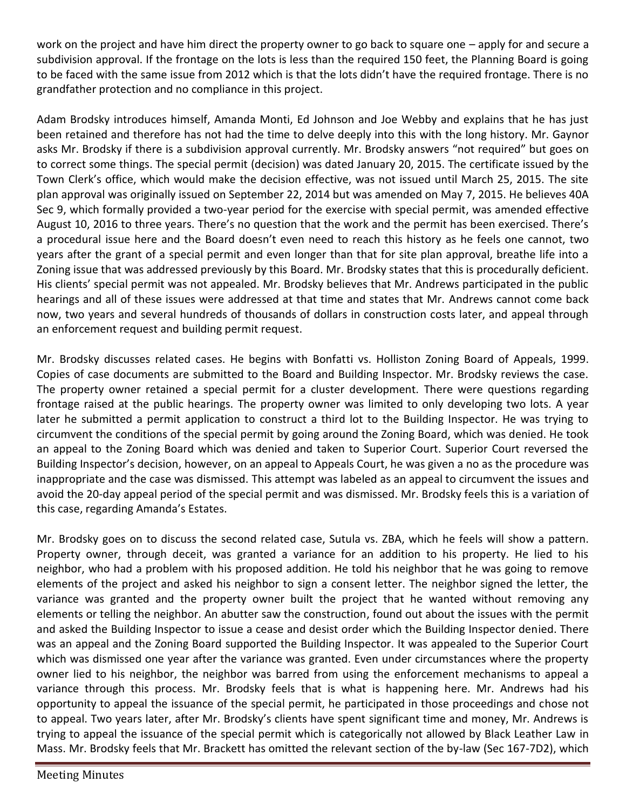work on the project and have him direct the property owner to go back to square one – apply for and secure a subdivision approval. If the frontage on the lots is less than the required 150 feet, the Planning Board is going to be faced with the same issue from 2012 which is that the lots didn't have the required frontage. There is no grandfather protection and no compliance in this project.

Adam Brodsky introduces himself, Amanda Monti, Ed Johnson and Joe Webby and explains that he has just been retained and therefore has not had the time to delve deeply into this with the long history. Mr. Gaynor asks Mr. Brodsky if there is a subdivision approval currently. Mr. Brodsky answers "not required" but goes on to correct some things. The special permit (decision) was dated January 20, 2015. The certificate issued by the Town Clerk's office, which would make the decision effective, was not issued until March 25, 2015. The site plan approval was originally issued on September 22, 2014 but was amended on May 7, 2015. He believes 40A Sec 9, which formally provided a two-year period for the exercise with special permit, was amended effective August 10, 2016 to three years. There's no question that the work and the permit has been exercised. There's a procedural issue here and the Board doesn't even need to reach this history as he feels one cannot, two years after the grant of a special permit and even longer than that for site plan approval, breathe life into a Zoning issue that was addressed previously by this Board. Mr. Brodsky states that this is procedurally deficient. His clients' special permit was not appealed. Mr. Brodsky believes that Mr. Andrews participated in the public hearings and all of these issues were addressed at that time and states that Mr. Andrews cannot come back now, two years and several hundreds of thousands of dollars in construction costs later, and appeal through an enforcement request and building permit request.

Mr. Brodsky discusses related cases. He begins with Bonfatti vs. Holliston Zoning Board of Appeals, 1999. Copies of case documents are submitted to the Board and Building Inspector. Mr. Brodsky reviews the case. The property owner retained a special permit for a cluster development. There were questions regarding frontage raised at the public hearings. The property owner was limited to only developing two lots. A year later he submitted a permit application to construct a third lot to the Building Inspector. He was trying to circumvent the conditions of the special permit by going around the Zoning Board, which was denied. He took an appeal to the Zoning Board which was denied and taken to Superior Court. Superior Court reversed the Building Inspector's decision, however, on an appeal to Appeals Court, he was given a no as the procedure was inappropriate and the case was dismissed. This attempt was labeled as an appeal to circumvent the issues and avoid the 20-day appeal period of the special permit and was dismissed. Mr. Brodsky feels this is a variation of this case, regarding Amanda's Estates.

Mr. Brodsky goes on to discuss the second related case, Sutula vs. ZBA, which he feels will show a pattern. Property owner, through deceit, was granted a variance for an addition to his property. He lied to his neighbor, who had a problem with his proposed addition. He told his neighbor that he was going to remove elements of the project and asked his neighbor to sign a consent letter. The neighbor signed the letter, the variance was granted and the property owner built the project that he wanted without removing any elements or telling the neighbor. An abutter saw the construction, found out about the issues with the permit and asked the Building Inspector to issue a cease and desist order which the Building Inspector denied. There was an appeal and the Zoning Board supported the Building Inspector. It was appealed to the Superior Court which was dismissed one year after the variance was granted. Even under circumstances where the property owner lied to his neighbor, the neighbor was barred from using the enforcement mechanisms to appeal a variance through this process. Mr. Brodsky feels that is what is happening here. Mr. Andrews had his opportunity to appeal the issuance of the special permit, he participated in those proceedings and chose not to appeal. Two years later, after Mr. Brodsky's clients have spent significant time and money, Mr. Andrews is trying to appeal the issuance of the special permit which is categorically not allowed by Black Leather Law in Mass. Mr. Brodsky feels that Mr. Brackett has omitted the relevant section of the by-law (Sec 167-7D2), which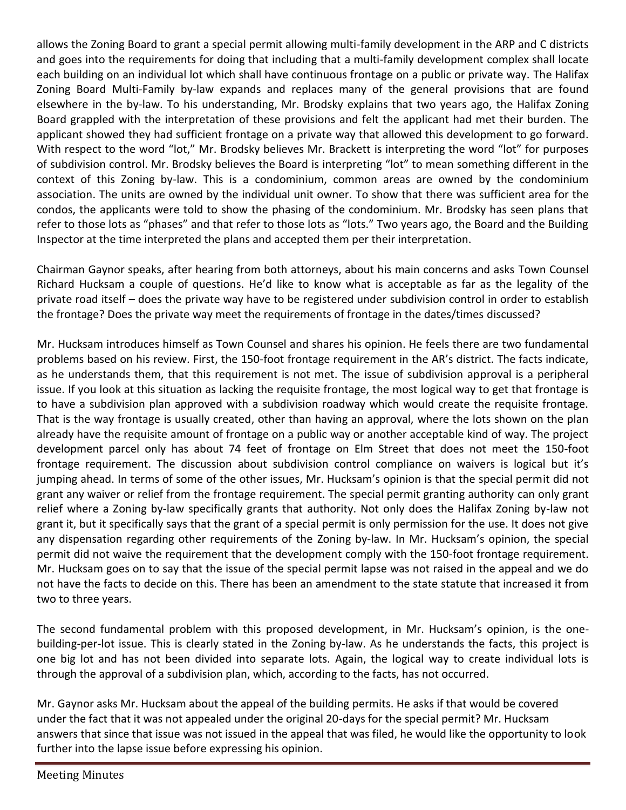allows the Zoning Board to grant a special permit allowing multi-family development in the ARP and C districts and goes into the requirements for doing that including that a multi-family development complex shall locate each building on an individual lot which shall have continuous frontage on a public or private way. The Halifax Zoning Board Multi-Family by-law expands and replaces many of the general provisions that are found elsewhere in the by-law. To his understanding, Mr. Brodsky explains that two years ago, the Halifax Zoning Board grappled with the interpretation of these provisions and felt the applicant had met their burden. The applicant showed they had sufficient frontage on a private way that allowed this development to go forward. With respect to the word "lot," Mr. Brodsky believes Mr. Brackett is interpreting the word "lot" for purposes of subdivision control. Mr. Brodsky believes the Board is interpreting "lot" to mean something different in the context of this Zoning by-law. This is a condominium, common areas are owned by the condominium association. The units are owned by the individual unit owner. To show that there was sufficient area for the condos, the applicants were told to show the phasing of the condominium. Mr. Brodsky has seen plans that refer to those lots as "phases" and that refer to those lots as "lots." Two years ago, the Board and the Building Inspector at the time interpreted the plans and accepted them per their interpretation.

Chairman Gaynor speaks, after hearing from both attorneys, about his main concerns and asks Town Counsel Richard Hucksam a couple of questions. He'd like to know what is acceptable as far as the legality of the private road itself – does the private way have to be registered under subdivision control in order to establish the frontage? Does the private way meet the requirements of frontage in the dates/times discussed?

Mr. Hucksam introduces himself as Town Counsel and shares his opinion. He feels there are two fundamental problems based on his review. First, the 150-foot frontage requirement in the AR's district. The facts indicate, as he understands them, that this requirement is not met. The issue of subdivision approval is a peripheral issue. If you look at this situation as lacking the requisite frontage, the most logical way to get that frontage is to have a subdivision plan approved with a subdivision roadway which would create the requisite frontage. That is the way frontage is usually created, other than having an approval, where the lots shown on the plan already have the requisite amount of frontage on a public way or another acceptable kind of way. The project development parcel only has about 74 feet of frontage on Elm Street that does not meet the 150-foot frontage requirement. The discussion about subdivision control compliance on waivers is logical but it's jumping ahead. In terms of some of the other issues, Mr. Hucksam's opinion is that the special permit did not grant any waiver or relief from the frontage requirement. The special permit granting authority can only grant relief where a Zoning by-law specifically grants that authority. Not only does the Halifax Zoning by-law not grant it, but it specifically says that the grant of a special permit is only permission for the use. It does not give any dispensation regarding other requirements of the Zoning by-law. In Mr. Hucksam's opinion, the special permit did not waive the requirement that the development comply with the 150-foot frontage requirement. Mr. Hucksam goes on to say that the issue of the special permit lapse was not raised in the appeal and we do not have the facts to decide on this. There has been an amendment to the state statute that increased it from two to three years.

The second fundamental problem with this proposed development, in Mr. Hucksam's opinion, is the onebuilding-per-lot issue. This is clearly stated in the Zoning by-law. As he understands the facts, this project is one big lot and has not been divided into separate lots. Again, the logical way to create individual lots is through the approval of a subdivision plan, which, according to the facts, has not occurred.

Mr. Gaynor asks Mr. Hucksam about the appeal of the building permits. He asks if that would be covered under the fact that it was not appealed under the original 20-days for the special permit? Mr. Hucksam answers that since that issue was not issued in the appeal that was filed, he would like the opportunity to look further into the lapse issue before expressing his opinion.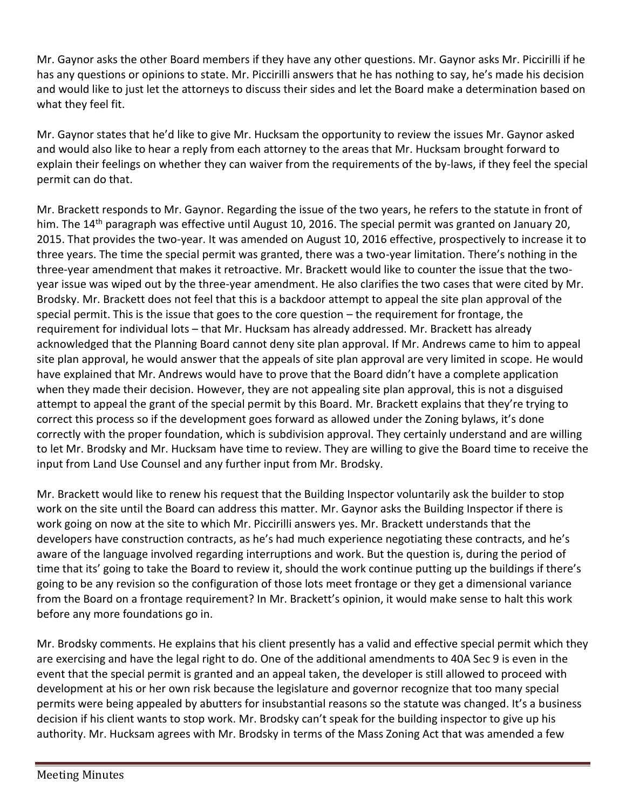Mr. Gaynor asks the other Board members if they have any other questions. Mr. Gaynor asks Mr. Piccirilli if he has any questions or opinions to state. Mr. Piccirilli answers that he has nothing to say, he's made his decision and would like to just let the attorneys to discuss their sides and let the Board make a determination based on what they feel fit.

Mr. Gaynor states that he'd like to give Mr. Hucksam the opportunity to review the issues Mr. Gaynor asked and would also like to hear a reply from each attorney to the areas that Mr. Hucksam brought forward to explain their feelings on whether they can waiver from the requirements of the by-laws, if they feel the special permit can do that.

Mr. Brackett responds to Mr. Gaynor. Regarding the issue of the two years, he refers to the statute in front of him. The 14<sup>th</sup> paragraph was effective until August 10, 2016. The special permit was granted on January 20, 2015. That provides the two-year. It was amended on August 10, 2016 effective, prospectively to increase it to three years. The time the special permit was granted, there was a two-year limitation. There's nothing in the three-year amendment that makes it retroactive. Mr. Brackett would like to counter the issue that the twoyear issue was wiped out by the three-year amendment. He also clarifies the two cases that were cited by Mr. Brodsky. Mr. Brackett does not feel that this is a backdoor attempt to appeal the site plan approval of the special permit. This is the issue that goes to the core question – the requirement for frontage, the requirement for individual lots – that Mr. Hucksam has already addressed. Mr. Brackett has already acknowledged that the Planning Board cannot deny site plan approval. If Mr. Andrews came to him to appeal site plan approval, he would answer that the appeals of site plan approval are very limited in scope. He would have explained that Mr. Andrews would have to prove that the Board didn't have a complete application when they made their decision. However, they are not appealing site plan approval, this is not a disguised attempt to appeal the grant of the special permit by this Board. Mr. Brackett explains that they're trying to correct this process so if the development goes forward as allowed under the Zoning bylaws, it's done correctly with the proper foundation, which is subdivision approval. They certainly understand and are willing to let Mr. Brodsky and Mr. Hucksam have time to review. They are willing to give the Board time to receive the input from Land Use Counsel and any further input from Mr. Brodsky.

Mr. Brackett would like to renew his request that the Building Inspector voluntarily ask the builder to stop work on the site until the Board can address this matter. Mr. Gaynor asks the Building Inspector if there is work going on now at the site to which Mr. Piccirilli answers yes. Mr. Brackett understands that the developers have construction contracts, as he's had much experience negotiating these contracts, and he's aware of the language involved regarding interruptions and work. But the question is, during the period of time that its' going to take the Board to review it, should the work continue putting up the buildings if there's going to be any revision so the configuration of those lots meet frontage or they get a dimensional variance from the Board on a frontage requirement? In Mr. Brackett's opinion, it would make sense to halt this work before any more foundations go in.

Mr. Brodsky comments. He explains that his client presently has a valid and effective special permit which they are exercising and have the legal right to do. One of the additional amendments to 40A Sec 9 is even in the event that the special permit is granted and an appeal taken, the developer is still allowed to proceed with development at his or her own risk because the legislature and governor recognize that too many special permits were being appealed by abutters for insubstantial reasons so the statute was changed. It's a business decision if his client wants to stop work. Mr. Brodsky can't speak for the building inspector to give up his authority. Mr. Hucksam agrees with Mr. Brodsky in terms of the Mass Zoning Act that was amended a few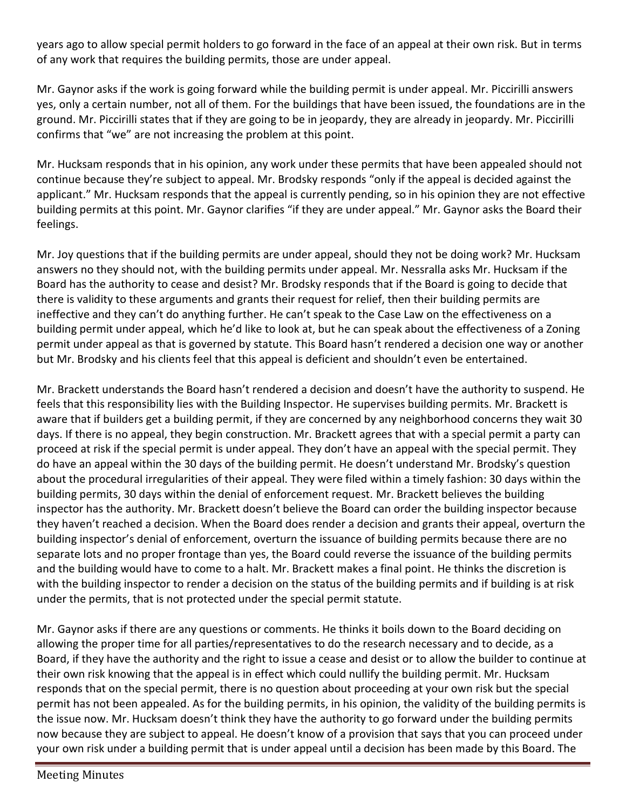years ago to allow special permit holders to go forward in the face of an appeal at their own risk. But in terms of any work that requires the building permits, those are under appeal.

Mr. Gaynor asks if the work is going forward while the building permit is under appeal. Mr. Piccirilli answers yes, only a certain number, not all of them. For the buildings that have been issued, the foundations are in the ground. Mr. Piccirilli states that if they are going to be in jeopardy, they are already in jeopardy. Mr. Piccirilli confirms that "we" are not increasing the problem at this point.

Mr. Hucksam responds that in his opinion, any work under these permits that have been appealed should not continue because they're subject to appeal. Mr. Brodsky responds "only if the appeal is decided against the applicant." Mr. Hucksam responds that the appeal is currently pending, so in his opinion they are not effective building permits at this point. Mr. Gaynor clarifies "if they are under appeal." Mr. Gaynor asks the Board their feelings.

Mr. Joy questions that if the building permits are under appeal, should they not be doing work? Mr. Hucksam answers no they should not, with the building permits under appeal. Mr. Nessralla asks Mr. Hucksam if the Board has the authority to cease and desist? Mr. Brodsky responds that if the Board is going to decide that there is validity to these arguments and grants their request for relief, then their building permits are ineffective and they can't do anything further. He can't speak to the Case Law on the effectiveness on a building permit under appeal, which he'd like to look at, but he can speak about the effectiveness of a Zoning permit under appeal as that is governed by statute. This Board hasn't rendered a decision one way or another but Mr. Brodsky and his clients feel that this appeal is deficient and shouldn't even be entertained.

Mr. Brackett understands the Board hasn't rendered a decision and doesn't have the authority to suspend. He feels that this responsibility lies with the Building Inspector. He supervises building permits. Mr. Brackett is aware that if builders get a building permit, if they are concerned by any neighborhood concerns they wait 30 days. If there is no appeal, they begin construction. Mr. Brackett agrees that with a special permit a party can proceed at risk if the special permit is under appeal. They don't have an appeal with the special permit. They do have an appeal within the 30 days of the building permit. He doesn't understand Mr. Brodsky's question about the procedural irregularities of their appeal. They were filed within a timely fashion: 30 days within the building permits, 30 days within the denial of enforcement request. Mr. Brackett believes the building inspector has the authority. Mr. Brackett doesn't believe the Board can order the building inspector because they haven't reached a decision. When the Board does render a decision and grants their appeal, overturn the building inspector's denial of enforcement, overturn the issuance of building permits because there are no separate lots and no proper frontage than yes, the Board could reverse the issuance of the building permits and the building would have to come to a halt. Mr. Brackett makes a final point. He thinks the discretion is with the building inspector to render a decision on the status of the building permits and if building is at risk under the permits, that is not protected under the special permit statute.

Mr. Gaynor asks if there are any questions or comments. He thinks it boils down to the Board deciding on allowing the proper time for all parties/representatives to do the research necessary and to decide, as a Board, if they have the authority and the right to issue a cease and desist or to allow the builder to continue at their own risk knowing that the appeal is in effect which could nullify the building permit. Mr. Hucksam responds that on the special permit, there is no question about proceeding at your own risk but the special permit has not been appealed. As for the building permits, in his opinion, the validity of the building permits is the issue now. Mr. Hucksam doesn't think they have the authority to go forward under the building permits now because they are subject to appeal. He doesn't know of a provision that says that you can proceed under your own risk under a building permit that is under appeal until a decision has been made by this Board. The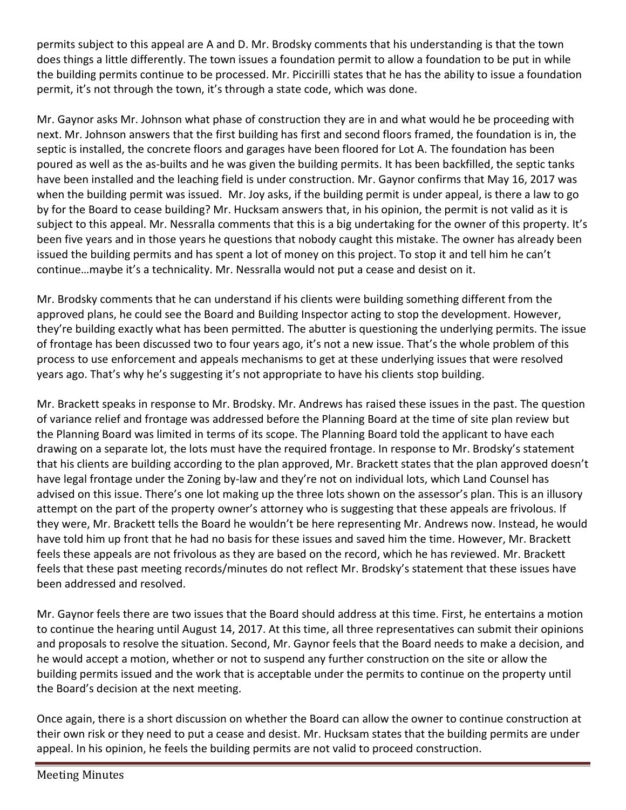permits subject to this appeal are A and D. Mr. Brodsky comments that his understanding is that the town does things a little differently. The town issues a foundation permit to allow a foundation to be put in while the building permits continue to be processed. Mr. Piccirilli states that he has the ability to issue a foundation permit, it's not through the town, it's through a state code, which was done.

Mr. Gaynor asks Mr. Johnson what phase of construction they are in and what would he be proceeding with next. Mr. Johnson answers that the first building has first and second floors framed, the foundation is in, the septic is installed, the concrete floors and garages have been floored for Lot A. The foundation has been poured as well as the as-builts and he was given the building permits. It has been backfilled, the septic tanks have been installed and the leaching field is under construction. Mr. Gaynor confirms that May 16, 2017 was when the building permit was issued. Mr. Joy asks, if the building permit is under appeal, is there a law to go by for the Board to cease building? Mr. Hucksam answers that, in his opinion, the permit is not valid as it is subject to this appeal. Mr. Nessralla comments that this is a big undertaking for the owner of this property. It's been five years and in those years he questions that nobody caught this mistake. The owner has already been issued the building permits and has spent a lot of money on this project. To stop it and tell him he can't continue…maybe it's a technicality. Mr. Nessralla would not put a cease and desist on it.

Mr. Brodsky comments that he can understand if his clients were building something different from the approved plans, he could see the Board and Building Inspector acting to stop the development. However, they're building exactly what has been permitted. The abutter is questioning the underlying permits. The issue of frontage has been discussed two to four years ago, it's not a new issue. That's the whole problem of this process to use enforcement and appeals mechanisms to get at these underlying issues that were resolved years ago. That's why he's suggesting it's not appropriate to have his clients stop building.

Mr. Brackett speaks in response to Mr. Brodsky. Mr. Andrews has raised these issues in the past. The question of variance relief and frontage was addressed before the Planning Board at the time of site plan review but the Planning Board was limited in terms of its scope. The Planning Board told the applicant to have each drawing on a separate lot, the lots must have the required frontage. In response to Mr. Brodsky's statement that his clients are building according to the plan approved, Mr. Brackett states that the plan approved doesn't have legal frontage under the Zoning by-law and they're not on individual lots, which Land Counsel has advised on this issue. There's one lot making up the three lots shown on the assessor's plan. This is an illusory attempt on the part of the property owner's attorney who is suggesting that these appeals are frivolous. If they were, Mr. Brackett tells the Board he wouldn't be here representing Mr. Andrews now. Instead, he would have told him up front that he had no basis for these issues and saved him the time. However, Mr. Brackett feels these appeals are not frivolous as they are based on the record, which he has reviewed. Mr. Brackett feels that these past meeting records/minutes do not reflect Mr. Brodsky's statement that these issues have been addressed and resolved.

Mr. Gaynor feels there are two issues that the Board should address at this time. First, he entertains a motion to continue the hearing until August 14, 2017. At this time, all three representatives can submit their opinions and proposals to resolve the situation. Second, Mr. Gaynor feels that the Board needs to make a decision, and he would accept a motion, whether or not to suspend any further construction on the site or allow the building permits issued and the work that is acceptable under the permits to continue on the property until the Board's decision at the next meeting.

Once again, there is a short discussion on whether the Board can allow the owner to continue construction at their own risk or they need to put a cease and desist. Mr. Hucksam states that the building permits are under appeal. In his opinion, he feels the building permits are not valid to proceed construction.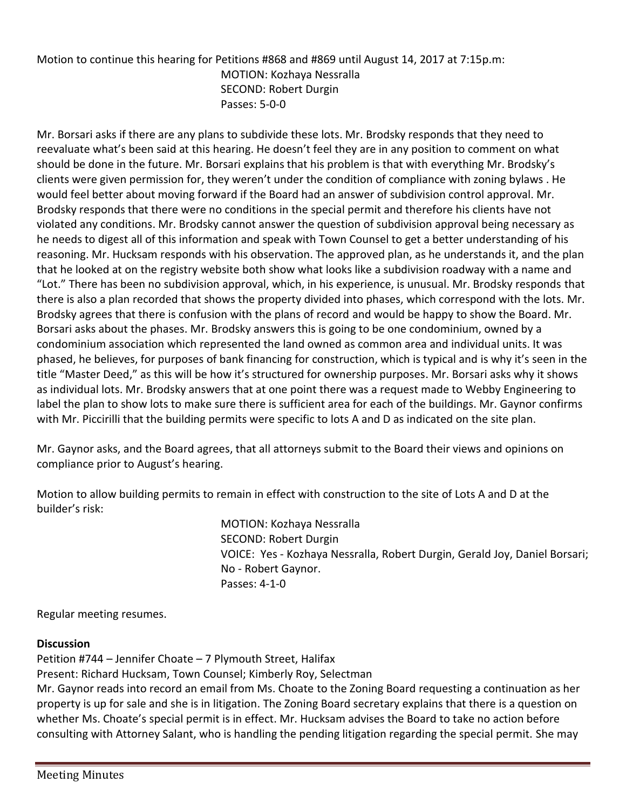Motion to continue this hearing for Petitions #868 and #869 until August 14, 2017 at 7:15p.m: MOTION: Kozhaya Nessralla SECOND: Robert Durgin Passes: 5-0-0

Mr. Borsari asks if there are any plans to subdivide these lots. Mr. Brodsky responds that they need to reevaluate what's been said at this hearing. He doesn't feel they are in any position to comment on what should be done in the future. Mr. Borsari explains that his problem is that with everything Mr. Brodsky's clients were given permission for, they weren't under the condition of compliance with zoning bylaws . He would feel better about moving forward if the Board had an answer of subdivision control approval. Mr. Brodsky responds that there were no conditions in the special permit and therefore his clients have not violated any conditions. Mr. Brodsky cannot answer the question of subdivision approval being necessary as he needs to digest all of this information and speak with Town Counsel to get a better understanding of his reasoning. Mr. Hucksam responds with his observation. The approved plan, as he understands it, and the plan that he looked at on the registry website both show what looks like a subdivision roadway with a name and "Lot." There has been no subdivision approval, which, in his experience, is unusual. Mr. Brodsky responds that there is also a plan recorded that shows the property divided into phases, which correspond with the lots. Mr. Brodsky agrees that there is confusion with the plans of record and would be happy to show the Board. Mr. Borsari asks about the phases. Mr. Brodsky answers this is going to be one condominium, owned by a condominium association which represented the land owned as common area and individual units. It was phased, he believes, for purposes of bank financing for construction, which is typical and is why it's seen in the title "Master Deed," as this will be how it's structured for ownership purposes. Mr. Borsari asks why it shows as individual lots. Mr. Brodsky answers that at one point there was a request made to Webby Engineering to label the plan to show lots to make sure there is sufficient area for each of the buildings. Mr. Gaynor confirms with Mr. Piccirilli that the building permits were specific to lots A and D as indicated on the site plan.

Mr. Gaynor asks, and the Board agrees, that all attorneys submit to the Board their views and opinions on compliance prior to August's hearing.

Motion to allow building permits to remain in effect with construction to the site of Lots A and D at the builder's risk:

> MOTION: Kozhaya Nessralla SECOND: Robert Durgin VOICE: Yes - Kozhaya Nessralla, Robert Durgin, Gerald Joy, Daniel Borsari; No - Robert Gaynor. Passes: 4-1-0

Regular meeting resumes.

#### **Discussion**

Petition #744 – Jennifer Choate – 7 Plymouth Street, Halifax

Present: Richard Hucksam, Town Counsel; Kimberly Roy, Selectman

Mr. Gaynor reads into record an email from Ms. Choate to the Zoning Board requesting a continuation as her property is up for sale and she is in litigation. The Zoning Board secretary explains that there is a question on whether Ms. Choate's special permit is in effect. Mr. Hucksam advises the Board to take no action before consulting with Attorney Salant, who is handling the pending litigation regarding the special permit. She may